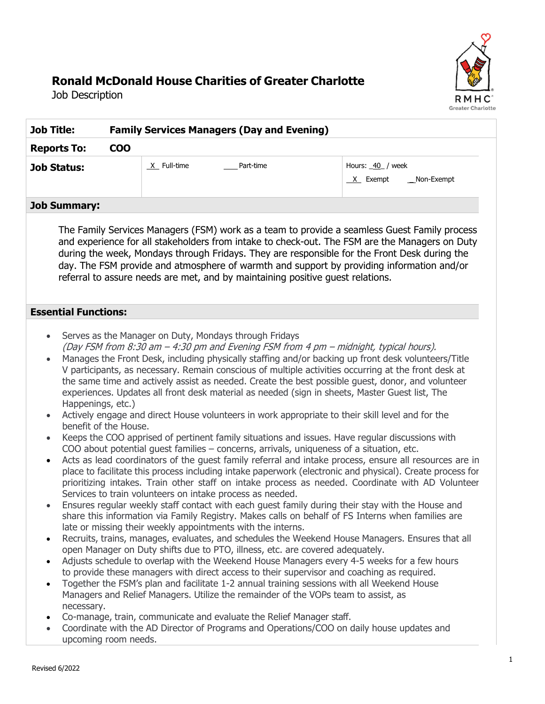# RMHC Greater Charlotte

# **Ronald McDonald House Charities of Greater Charlotte**

Job Description

| <b>Family Services Managers (Day and Evening)</b><br><b>Job Title:</b><br><b>COO</b><br><b>Reports To:</b> |                                                                                                                                                                                                                                                                                                                                                                                                                                                                                                                                                                                                                                                                                                                                                                                                                    |                                                                                                                                                                                                                                                                                                                                                                                                                                                                                                                                                                                                                                                                                                                                                                                                                                                                                                                                                                                                                                                                                                                                                                                                                                                                                                                                                                                                                                                                |
|------------------------------------------------------------------------------------------------------------|--------------------------------------------------------------------------------------------------------------------------------------------------------------------------------------------------------------------------------------------------------------------------------------------------------------------------------------------------------------------------------------------------------------------------------------------------------------------------------------------------------------------------------------------------------------------------------------------------------------------------------------------------------------------------------------------------------------------------------------------------------------------------------------------------------------------|----------------------------------------------------------------------------------------------------------------------------------------------------------------------------------------------------------------------------------------------------------------------------------------------------------------------------------------------------------------------------------------------------------------------------------------------------------------------------------------------------------------------------------------------------------------------------------------------------------------------------------------------------------------------------------------------------------------------------------------------------------------------------------------------------------------------------------------------------------------------------------------------------------------------------------------------------------------------------------------------------------------------------------------------------------------------------------------------------------------------------------------------------------------------------------------------------------------------------------------------------------------------------------------------------------------------------------------------------------------------------------------------------------------------------------------------------------------|
|                                                                                                            |                                                                                                                                                                                                                                                                                                                                                                                                                                                                                                                                                                                                                                                                                                                                                                                                                    |                                                                                                                                                                                                                                                                                                                                                                                                                                                                                                                                                                                                                                                                                                                                                                                                                                                                                                                                                                                                                                                                                                                                                                                                                                                                                                                                                                                                                                                                |
| <b>Job Summary:</b>                                                                                        |                                                                                                                                                                                                                                                                                                                                                                                                                                                                                                                                                                                                                                                                                                                                                                                                                    |                                                                                                                                                                                                                                                                                                                                                                                                                                                                                                                                                                                                                                                                                                                                                                                                                                                                                                                                                                                                                                                                                                                                                                                                                                                                                                                                                                                                                                                                |
|                                                                                                            | referral to assure needs are met, and by maintaining positive guest relations.                                                                                                                                                                                                                                                                                                                                                                                                                                                                                                                                                                                                                                                                                                                                     | The Family Services Managers (FSM) work as a team to provide a seamless Guest Family process<br>and experience for all stakeholders from intake to check-out. The FSM are the Managers on Duty<br>during the week, Mondays through Fridays. They are responsible for the Front Desk during the<br>day. The FSM provide and atmosphere of warmth and support by providing information and/or                                                                                                                                                                                                                                                                                                                                                                                                                                                                                                                                                                                                                                                                                                                                                                                                                                                                                                                                                                                                                                                                    |
| <b>Essential Functions:</b>                                                                                |                                                                                                                                                                                                                                                                                                                                                                                                                                                                                                                                                                                                                                                                                                                                                                                                                    |                                                                                                                                                                                                                                                                                                                                                                                                                                                                                                                                                                                                                                                                                                                                                                                                                                                                                                                                                                                                                                                                                                                                                                                                                                                                                                                                                                                                                                                                |
| Happenings, etc.)<br>benefit of the House.<br>$\bullet$<br>$\bullet$<br>necessary.<br>upcoming room needs. | Serves as the Manager on Duty, Mondays through Fridays<br>(Day FSM from 8:30 am - 4:30 pm and Evening FSM from 4 pm - midnight, typical hours).<br>COO about potential guest families - concerns, arrivals, uniqueness of a situation, etc.<br>Services to train volunteers on intake process as needed.<br>late or missing their weekly appointments with the interns.<br>open Manager on Duty shifts due to PTO, illness, etc. are covered adequately.<br>to provide these managers with direct access to their supervisor and coaching as required.<br>Together the FSM's plan and facilitate 1-2 annual training sessions with all Weekend House<br>Managers and Relief Managers. Utilize the remainder of the VOPs team to assist, as<br>Co-manage, train, communicate and evaluate the Relief Manager staff. | Manages the Front Desk, including physically staffing and/or backing up front desk volunteers/Title<br>V participants, as necessary. Remain conscious of multiple activities occurring at the front desk at<br>the same time and actively assist as needed. Create the best possible guest, donor, and volunteer<br>experiences. Updates all front desk material as needed (sign in sheets, Master Guest list, The<br>Actively engage and direct House volunteers in work appropriate to their skill level and for the<br>Keeps the COO apprised of pertinent family situations and issues. Have regular discussions with<br>Acts as lead coordinators of the guest family referral and intake process, ensure all resources are in<br>place to facilitate this process including intake paperwork (electronic and physical). Create process for<br>prioritizing intakes. Train other staff on intake process as needed. Coordinate with AD Volunteer<br>Ensures regular weekly staff contact with each guest family during their stay with the House and<br>share this information via Family Registry. Makes calls on behalf of FS Interns when families are<br>Recruits, trains, manages, evaluates, and schedules the Weekend House Managers. Ensures that all<br>Adjusts schedule to overlap with the Weekend House Managers every 4-5 weeks for a few hours<br>Coordinate with the AD Director of Programs and Operations/COO on daily house updates and |